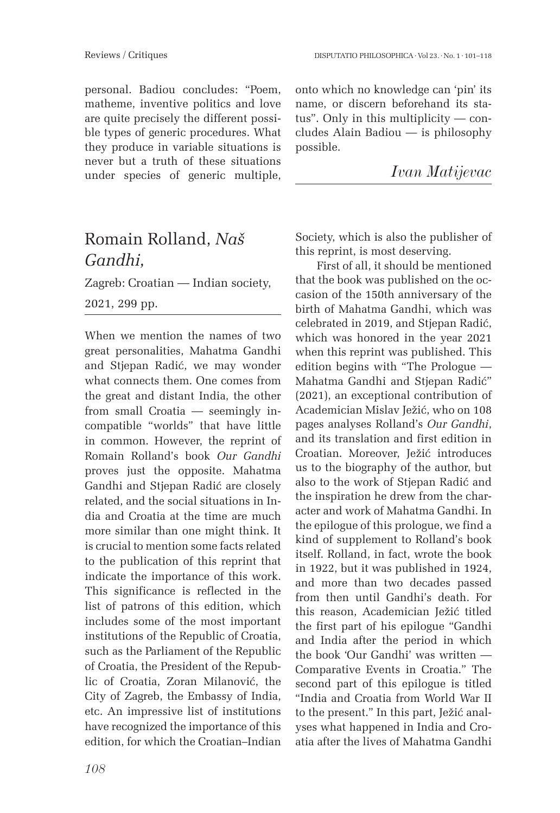personal. Badiou concludes: "Poem, matheme, inventive politics and love are quite precisely the different possible types of generic procedures. What they produce in variable situations is never but a truth of these situations under species of generic multiple, onto which no knowledge can 'pin' its name, or discern beforehand its status". Only in this multiplicity — concludes Alain Badiou — is philosophy possible.

|  | Ivan Matijevac |
|--|----------------|
|--|----------------|

## Romain Rolland, *Naš Gandhi,*

Zagreb: Croatian — Indian society, 2021, 299 pp.

When we mention the names of two great personalities, Mahatma Gandhi and Stjepan Radić, we may wonder what connects them. One comes from the great and distant India, the other from small Croatia — seemingly incompatible "worlds" that have little in common. However, the reprint of Romain Rolland's book *Our Gandhi*  proves just the opposite. Mahatma Gandhi and Stjepan Radić are closely related, and the social situations in India and Croatia at the time are much more similar than one might think. It is crucial to mention some facts related to the publication of this reprint that indicate the importance of this work. This significance is reflected in the list of patrons of this edition, which includes some of the most important institutions of the Republic of Croatia, such as the Parliament of the Republic of Croatia, the President of the Republic of Croatia, Zoran Milanović, the City of Zagreb, the Embassy of India, etc. An impressive list of institutions have recognized the importance of this edition, for which the Croatian–Indian

Society, which is also the publisher of this reprint, is most deserving. First of all, it should be mentioned

that the book was published on the occasion of the 150th anniversary of the birth of Mahatma Gandhi, which was celebrated in 2019, and Stjepan Radić, which was honored in the year 2021 when this reprint was published. This edition begins with "The Prologue — Mahatma Gandhi and Stjepan Radić" (2021), an exceptional contribution of Academician Mislav Ježić, who on 108 pages analyses Rolland's *Our Gandhi*, and its translation and first edition in Croatian. Moreover, Ježić introduces us to the biography of the author, but also to the work of Stjepan Radić and the inspiration he drew from the character and work of Mahatma Gandhi. In the epilogue of this prologue, we find a kind of supplement to Rolland's book itself. Rolland, in fact, wrote the book in 1922, but it was published in 1924, and more than two decades passed from then until Gandhi's death. For this reason, Academician Ježić titled the first part of his epilogue "Gandhi and India after the period in which the book 'Our Gandhi' was written — Comparative Events in Croatia." The second part of this epilogue is titled "India and Croatia from World War II to the present." In this part, Ježić analyses what happened in India and Croatia after the lives of Mahatma Gandhi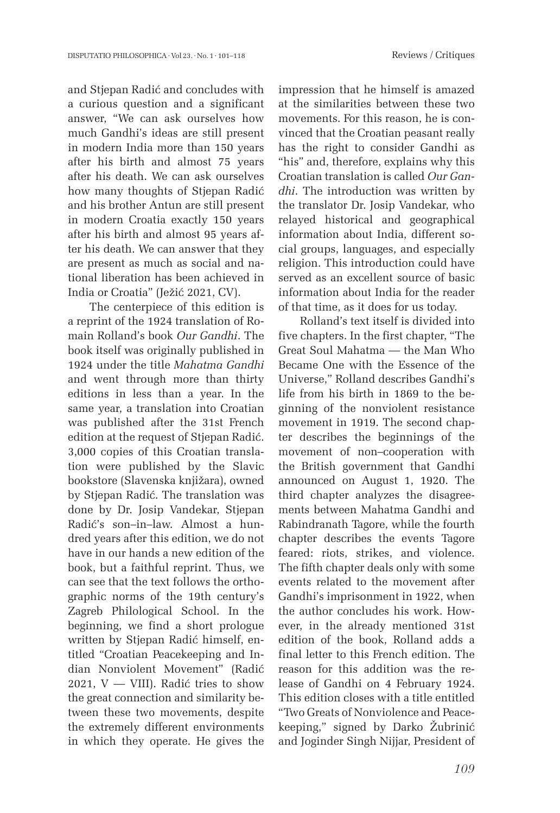and Stjepan Radić and concludes with a curious question and a significant answer, "We can ask ourselves how much Gandhi's ideas are still present in modern India more than 150 years after his birth and almost 75 years after his death. We can ask ourselves how many thoughts of Stjepan Radić and his brother Antun are still present in modern Croatia exactly 150 years after his birth and almost 95 years after his death. We can answer that they are present as much as social and national liberation has been achieved in India or Croatia" (Ježić 2021, CV).

The centerpiece of this edition is a reprint of the 1924 translation of Romain Rolland's book *Our Gandhi*. The book itself was originally published in 1924 under the title *Mahatma Gandhi* and went through more than thirty editions in less than a year. In the same year, a translation into Croatian was published after the 31st French edition at the request of Stjepan Radić. 3,000 copies of this Croatian translation were published by the Slavic bookstore (Slavenska knjižara), owned by Stjepan Radić. The translation was done by Dr. Josip Vandekar, Stjepan Radić's son–in–law. Almost a hundred years after this edition, we do not have in our hands a new edition of the book, but a faithful reprint. Thus, we can see that the text follows the orthographic norms of the 19th century's Zagreb Philological School. In the beginning, we find a short prologue written by Stjepan Radić himself, entitled "Croatian Peacekeeping and Indian Nonviolent Movement" (Radić 2021,  $V - VIII$ ). Radić tries to show the great connection and similarity between these two movements, despite the extremely different environments in which they operate. He gives the impression that he himself is amazed at the similarities between these two movements. For this reason, he is convinced that the Croatian peasant really has the right to consider Gandhi as "his" and, therefore, explains why this Croatian translation is called *Our Gandhi*. The introduction was written by the translator Dr. Josip Vandekar, who relayed historical and geographical information about India, different social groups, languages, and especially religion. This introduction could have served as an excellent source of basic information about India for the reader of that time, as it does for us today.

Rolland's text itself is divided into five chapters. In the first chapter, "The Great Soul Mahatma — the Man Who Became One with the Essence of the Universe," Rolland describes Gandhi's life from his birth in 1869 to the beginning of the nonviolent resistance movement in 1919. The second chapter describes the beginnings of the movement of non–cooperation with the British government that Gandhi announced on August 1, 1920. The third chapter analyzes the disagreements between Mahatma Gandhi and Rabindranath Tagore, while the fourth chapter describes the events Tagore feared: riots, strikes, and violence. The fifth chapter deals only with some events related to the movement after Gandhi's imprisonment in 1922, when the author concludes his work. However, in the already mentioned 31st edition of the book, Rolland adds a final letter to this French edition. The reason for this addition was the release of Gandhi on 4 February 1924. This edition closes with a title entitled "Two Greats of Nonviolence and Peacekeeping," signed by Darko Žubrinić and Joginder Singh Nijjar, President of